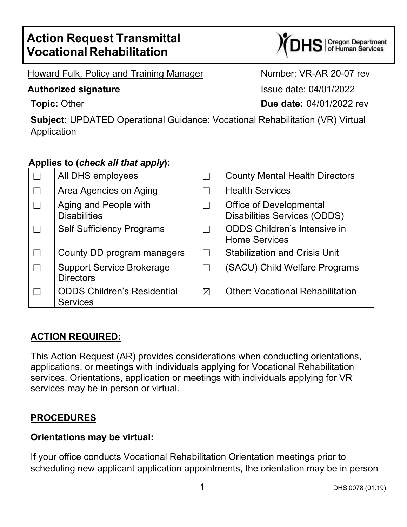# **Action Request Transmittal Vocational Rehabilitation**

S | Oregon Department<br>S | of Human Services

Howard Fulk, Policy and Training Manager Number: VR-AR 20-07 rev

#### **Authorized signature Issue date: 04/01/2022**

**Topic:** Other **Due date:** 04/01/2022 rev

**Subject:** UPDATED Operational Guidance: Vocational Rehabilitation (VR) Virtual Application

## **Applies to (***check all that apply***):**

| All DHS employees                                     |             | <b>County Mental Health Directors</b>                                 |
|-------------------------------------------------------|-------------|-----------------------------------------------------------------------|
| Area Agencies on Aging                                |             | <b>Health Services</b>                                                |
| Aging and People with<br><b>Disabilities</b>          |             | <b>Office of Developmental</b><br><b>Disabilities Services (ODDS)</b> |
| <b>Self Sufficiency Programs</b>                      |             | <b>ODDS Children's Intensive in</b><br><b>Home Services</b>           |
| County DD program managers                            |             | <b>Stabilization and Crisis Unit</b>                                  |
| <b>Support Service Brokerage</b><br><b>Directors</b>  |             | (SACU) Child Welfare Programs                                         |
| <b>ODDS Children's Residential</b><br><b>Services</b> | $\boxtimes$ | <b>Other: Vocational Rehabilitation</b>                               |

## **ACTION REQUIRED:**

This Action Request (AR) provides considerations when conducting orientations, applications, or meetings with individuals applying for Vocational Rehabilitation services. Orientations, application or meetings with individuals applying for VR services may be in person or virtual.

## **PROCEDURES**

#### **Orientations may be virtual:**

If your office conducts Vocational Rehabilitation Orientation meetings prior to scheduling new applicant application appointments, the orientation may be in person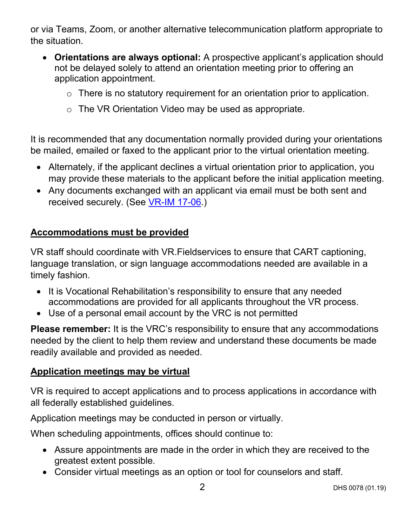or via Teams, Zoom, or another alternative telecommunication platform appropriate to the situation.

- **Orientations are always optional:** A prospective applicant's application should not be delayed solely to attend an orientation meeting prior to offering an application appointment.
	- o There is no statutory requirement for an orientation prior to application.
	- o The VR Orientation Video may be used as appropriate.

It is recommended that any documentation normally provided during your orientations be mailed, emailed or faxed to the applicant prior to the virtual orientation meeting.

- Alternately, if the applicant declines a virtual orientation prior to application, you may provide these materials to the applicant before the initial application meeting.
- Any documents exchanged with an applicant via email must be both sent and received securely. (See [VR-IM 17-06.](https://www.oregon.gov/dhs/EMPLOYMENT/VR/PolicyRuleDocs/VR-IM%2017-06%20Using%20Secure%20Email.pdf))

## **Accommodations must be provided**

VR staff should coordinate with VR.Fieldservices to ensure that CART captioning, language translation, or sign language accommodations needed are available in a timely fashion.

- It is Vocational Rehabilitation's responsibility to ensure that any needed accommodations are provided for all applicants throughout the VR process.
- Use of a personal email account by the VRC is not permitted

**Please remember:** It is the VRC's responsibility to ensure that any accommodations needed by the client to help them review and understand these documents be made readily available and provided as needed.

## **Application meetings may be virtual**

VR is required to accept applications and to process applications in accordance with all federally established guidelines.

Application meetings may be conducted in person or virtually.

When scheduling appointments, offices should continue to:

- Assure appointments are made in the order in which they are received to the greatest extent possible.
- Consider virtual meetings as an option or tool for counselors and staff.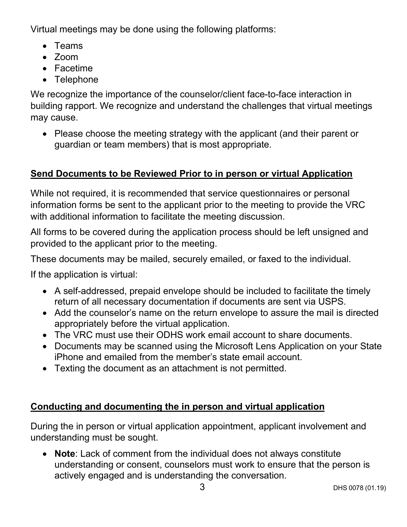Virtual meetings may be done using the following platforms:

- Teams
- Zoom
- Facetime
- Telephone

We recognize the importance of the counselor/client face-to-face interaction in building rapport. We recognize and understand the challenges that virtual meetings may cause.

• Please choose the meeting strategy with the applicant (and their parent or guardian or team members) that is most appropriate.

# **Send Documents to be Reviewed Prior to in person or virtual Application**

While not required, it is recommended that service questionnaires or personal information forms be sent to the applicant prior to the meeting to provide the VRC with additional information to facilitate the meeting discussion.

All forms to be covered during the application process should be left unsigned and provided to the applicant prior to the meeting.

These documents may be mailed, securely emailed, or faxed to the individual.

If the application is virtual:

- A self-addressed, prepaid envelope should be included to facilitate the timely return of all necessary documentation if documents are sent via USPS.
- Add the counselor's name on the return envelope to assure the mail is directed appropriately before the virtual application.
- The VRC must use their ODHS work email account to share documents.
- Documents may be scanned using the Microsoft Lens Application on your State iPhone and emailed from the member's state email account.
- Texting the document as an attachment is not permitted.

# **Conducting and documenting the in person and virtual application**

During the in person or virtual application appointment, applicant involvement and understanding must be sought.

• **Note**: Lack of comment from the individual does not always constitute understanding or consent, counselors must work to ensure that the person is actively engaged and is understanding the conversation.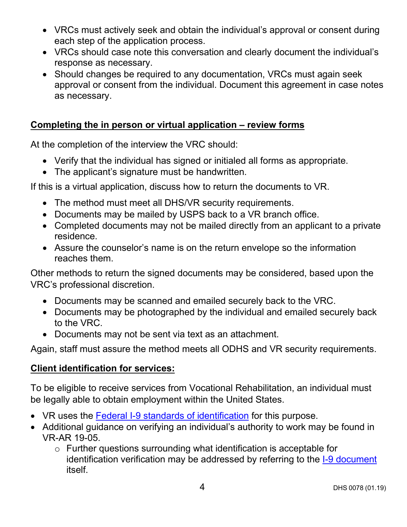- VRCs must actively seek and obtain the individual's approval or consent during each step of the application process.
- VRCs should case note this conversation and clearly document the individual's response as necessary.
- Should changes be required to any documentation, VRCs must again seek approval or consent from the individual. Document this agreement in case notes as necessary.

## **Completing the in person or virtual application – review forms**

At the completion of the interview the VRC should:

- Verify that the individual has signed or initialed all forms as appropriate.
- The applicant's signature must be handwritten.

If this is a virtual application, discuss how to return the documents to VR.

- The method must meet all DHS/VR security requirements.
- Documents may be mailed by USPS back to a VR branch office.
- Completed documents may not be mailed directly from an applicant to a private residence.
- Assure the counselor's name is on the return envelope so the information reaches them.

Other methods to return the signed documents may be considered, based upon the VRC's professional discretion.

- Documents may be scanned and emailed securely back to the VRC.
- Documents may be photographed by the individual and emailed securely back to the VRC.
- Documents may not be sent via text as an attachment.

Again, staff must assure the method meets all ODHS and VR security requirements.

## **Client identification for services:**

To be eligible to receive services from Vocational Rehabilitation, an individual must be legally able to obtain employment within the United States.

- VR uses the **Federal I-9 standards of identification** for this purpose.
- Additional guidance on verifying an individual's authority to work may be found in VR-AR 19-05.
	- o Further questions surrounding what identification is acceptable for identification verification may be addressed by referring to the [I-9 document](https://www.uscis.gov/i-9) itself.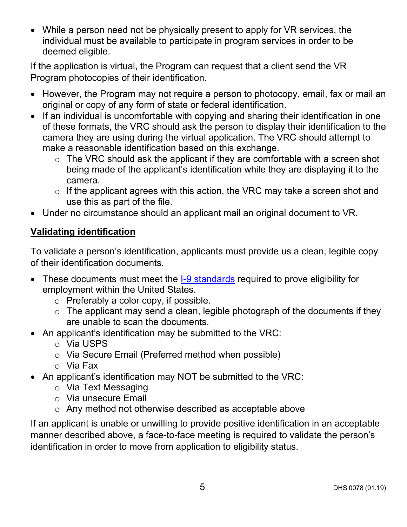• While a person need not be physically present to apply for VR services, the individual must be available to participate in program services in order to be deemed eligible.

If the application is virtual, the Program can request that a client send the VR Program photocopies of their identification.

- However, the Program may not require a person to photocopy, email, fax or mail an original or copy of any form of state or federal identification.
- If an individual is uncomfortable with copying and sharing their identification in one of these formats, the VRC should ask the person to display their identification to the camera they are using during the virtual application. The VRC should attempt to make a reasonable identification based on this exchange.
	- $\circ$  The VRC should ask the applicant if they are comfortable with a screen shot being made of the applicant's identification while they are displaying it to the camera.
	- $\circ$  If the applicant agrees with this action, the VRC may take a screen shot and use this as part of the file.
- Under no circumstance should an applicant mail an original document to VR.

# **Validating identification**

To validate a person's identification, applicants must provide us a clean, legible copy of their identification documents.

- These documents must meet the [I-9 standards](https://www.uscis.gov/i-9) required to prove eligibility for employment within the United States.
	- o Preferably a color copy, if possible.
	- $\circ$  The applicant may send a clean, legible photograph of the documents if they are unable to scan the documents.
- An applicant's identification may be submitted to the VRC:
	- o Via USPS
	- o Via Secure Email (Preferred method when possible)
	- o Via Fax
- An applicant's identification may NOT be submitted to the VRC:
	- o Via Text Messaging
	- o Via unsecure Email
	- o Any method not otherwise described as acceptable above

If an applicant is unable or unwilling to provide positive identification in an acceptable manner described above, a face-to-face meeting is required to validate the person's identification in order to move from application to eligibility status.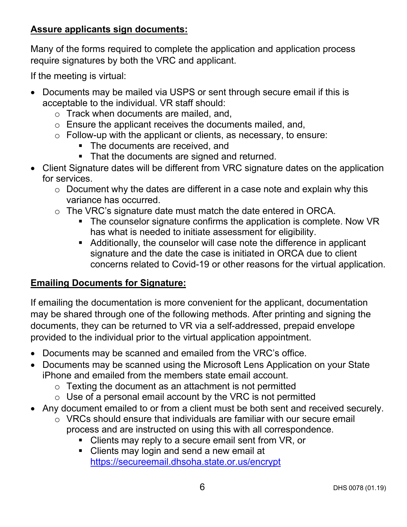## **Assure applicants sign documents:**

Many of the forms required to complete the application and application process require signatures by both the VRC and applicant.

If the meeting is virtual:

- Documents may be mailed via USPS or sent through secure email if this is acceptable to the individual. VR staff should:
	- o Track when documents are mailed, and,
	- o Ensure the applicant receives the documents mailed, and,
	- o Follow-up with the applicant or clients, as necessary, to ensure:
		- **The documents are received, and**
		- That the documents are signed and returned.
- Client Signature dates will be different from VRC signature dates on the application for services.
	- $\circ$  Document why the dates are different in a case note and explain why this variance has occurred.
	- o The VRC's signature date must match the date entered in ORCA.
		- The counselor signature confirms the application is complete. Now VR has what is needed to initiate assessment for eligibility.
		- Additionally, the counselor will case note the difference in applicant signature and the date the case is initiated in ORCA due to client concerns related to Covid-19 or other reasons for the virtual application.

## **Emailing Documents for Signature:**

If emailing the documentation is more convenient for the applicant, documentation may be shared through one of the following methods. After printing and signing the documents, they can be returned to VR via a self-addressed, prepaid envelope provided to the individual prior to the virtual application appointment.

- Documents may be scanned and emailed from the VRC's office.
- Documents may be scanned using the Microsoft Lens Application on your State iPhone and emailed from the members state email account.
	- $\circ$  Texting the document as an attachment is not permitted
	- $\circ$  Use of a personal email account by the VRC is not permitted
- Any document emailed to or from a client must be both sent and received securely.
	- o VRCs should ensure that individuals are familiar with our secure email process and are instructed on using this with all correspondence.
		- Clients may reply to a secure email sent from VR, or
		- Clients may login and send a new email at <https://secureemail.dhsoha.state.or.us/encrypt>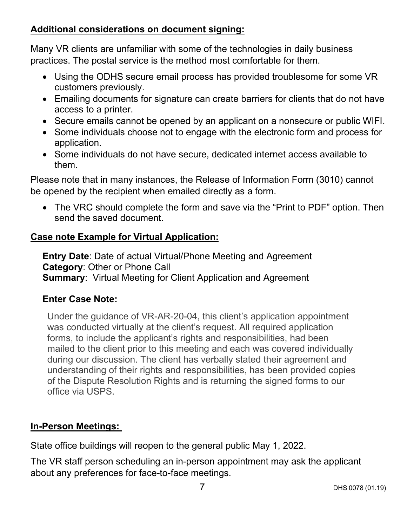## **Additional considerations on document signing:**

Many VR clients are unfamiliar with some of the technologies in daily business practices. The postal service is the method most comfortable for them.

- Using the ODHS secure email process has provided troublesome for some VR customers previously.
- Emailing documents for signature can create barriers for clients that do not have access to a printer.
- Secure emails cannot be opened by an applicant on a nonsecure or public WIFI.
- Some individuals choose not to engage with the electronic form and process for application.
- Some individuals do not have secure, dedicated internet access available to them.

Please note that in many instances, the Release of Information Form (3010) cannot be opened by the recipient when emailed directly as a form.

• The VRC should complete the form and save via the "Print to PDF" option. Then send the saved document.

## **Case note Example for Virtual Application:**

**Entry Date**: Date of actual Virtual/Phone Meeting and Agreement **Category**: Other or Phone Call **Summary**: Virtual Meeting for Client Application and Agreement

## **Enter Case Note:**

Under the guidance of VR-AR-20-04, this client's application appointment was conducted virtually at the client's request. All required application forms, to include the applicant's rights and responsibilities, had been mailed to the client prior to this meeting and each was covered individually during our discussion. The client has verbally stated their agreement and understanding of their rights and responsibilities, has been provided copies of the Dispute Resolution Rights and is returning the signed forms to our office via USPS.

#### **In-Person Meetings:**

State office buildings will reopen to the general public May 1, 2022.

The VR staff person scheduling an in-person appointment may ask the applicant about any preferences for face-to-face meetings.